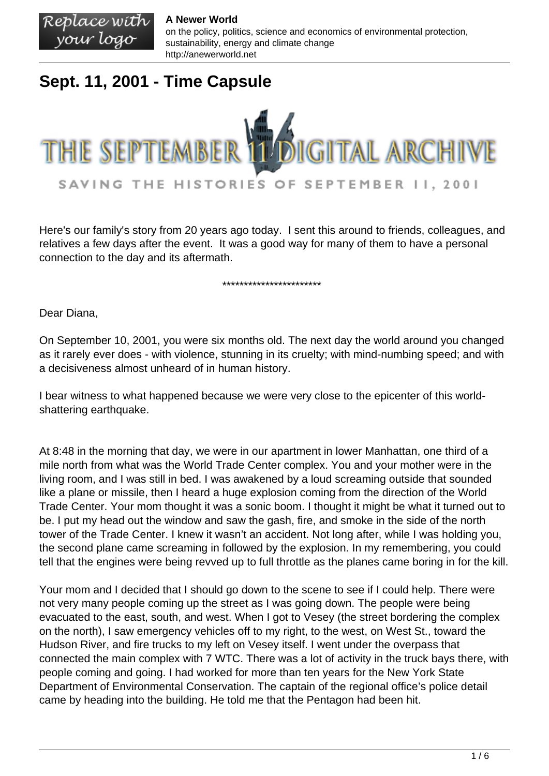Replace with **A Newer World** on the policy, politics, science and economics of environmental protection, your logo sustainability, energy and climate change http://anewerworld.net

## **Sept. 11, 2001 - Time Capsule**



Here's our family's story from 20 years ago today. I sent this around to friends, colleagues, and relatives a few days after the event. It was a good way for many of them to have a personal connection to the day and its aftermath.

#### \*\*\*\*\*\*\*\*\*\*\*\*\*\*\*\*\*\*\*\*\*\*\*

Dear Diana,

On September 10, 2001, you were six months old. The next day the world around you changed as it rarely ever does - with violence, stunning in its cruelty; with mind-numbing speed; and with a decisiveness almost unheard of in human history.

I bear witness to what happened because we were very close to the epicenter of this worldshattering earthquake.

At 8:48 in the morning that day, we were in our apartment in lower Manhattan, one third of a mile north from what was the World Trade Center complex. You and your mother were in the living room, and I was still in bed. I was awakened by a loud screaming outside that sounded like a plane or missile, then I heard a huge explosion coming from the direction of the World Trade Center. Your mom thought it was a sonic boom. I thought it might be what it turned out to be. I put my head out the window and saw the gash, fire, and smoke in the side of the north tower of the Trade Center. I knew it wasn't an accident. Not long after, while I was holding you, the second plane came screaming in followed by the explosion. In my remembering, you could tell that the engines were being revved up to full throttle as the planes came boring in for the kill.

Your mom and I decided that I should go down to the scene to see if I could help. There were not very many people coming up the street as I was going down. The people were being evacuated to the east, south, and west. When I got to Vesey (the street bordering the complex on the north), I saw emergency vehicles off to my right, to the west, on West St., toward the Hudson River, and fire trucks to my left on Vesey itself. I went under the overpass that connected the main complex with 7 WTC. There was a lot of activity in the truck bays there, with people coming and going. I had worked for more than ten years for the New York State Department of Environmental Conservation. The captain of the regional office's police detail came by heading into the building. He told me that the Pentagon had been hit.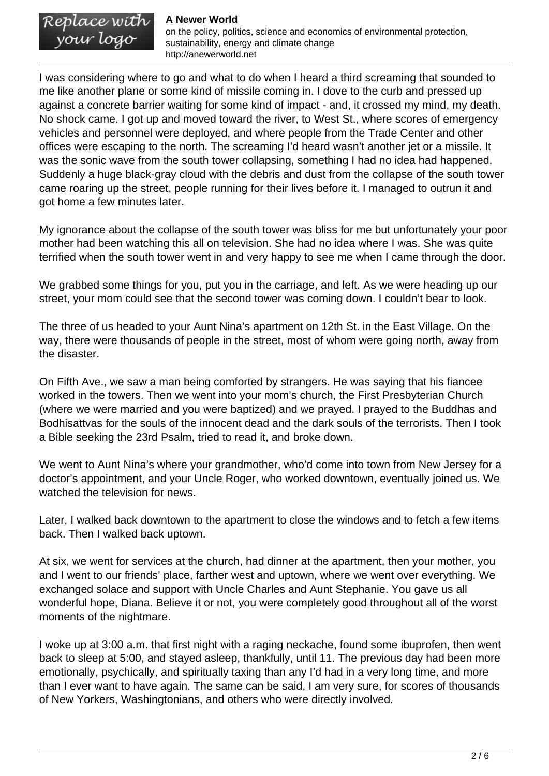Replace with your logo

on the policy, politics, science and economics of environmental protection, sustainability, energy and climate change http://anewerworld.net

I was considering where to go and what to do when I heard a third screaming that sounded to me like another plane or some kind of missile coming in. I dove to the curb and pressed up against a concrete barrier waiting for some kind of impact - and, it crossed my mind, my death. No shock came. I got up and moved toward the river, to West St., where scores of emergency vehicles and personnel were deployed, and where people from the Trade Center and other offices were escaping to the north. The screaming I'd heard wasn't another jet or a missile. It was the sonic wave from the south tower collapsing, something I had no idea had happened. Suddenly a huge black-gray cloud with the debris and dust from the collapse of the south tower came roaring up the street, people running for their lives before it. I managed to outrun it and got home a few minutes later.

My ignorance about the collapse of the south tower was bliss for me but unfortunately your poor mother had been watching this all on television. She had no idea where I was. She was quite terrified when the south tower went in and very happy to see me when I came through the door.

We grabbed some things for you, put you in the carriage, and left. As we were heading up our street, your mom could see that the second tower was coming down. I couldn't bear to look.

The three of us headed to your Aunt Nina's apartment on 12th St. in the East Village. On the way, there were thousands of people in the street, most of whom were going north, away from the disaster.

On Fifth Ave., we saw a man being comforted by strangers. He was saying that his fiancee worked in the towers. Then we went into your mom's church, the First Presbyterian Church (where we were married and you were baptized) and we prayed. I prayed to the Buddhas and Bodhisattvas for the souls of the innocent dead and the dark souls of the terrorists. Then I took a Bible seeking the 23rd Psalm, tried to read it, and broke down.

We went to Aunt Nina's where your grandmother, who'd come into town from New Jersey for a doctor's appointment, and your Uncle Roger, who worked downtown, eventually joined us. We watched the television for news.

Later, I walked back downtown to the apartment to close the windows and to fetch a few items back. Then I walked back uptown.

At six, we went for services at the church, had dinner at the apartment, then your mother, you and I went to our friends' place, farther west and uptown, where we went over everything. We exchanged solace and support with Uncle Charles and Aunt Stephanie. You gave us all wonderful hope, Diana. Believe it or not, you were completely good throughout all of the worst moments of the nightmare.

I woke up at 3:00 a.m. that first night with a raging neckache, found some ibuprofen, then went back to sleep at 5:00, and stayed asleep, thankfully, until 11. The previous day had been more emotionally, psychically, and spiritually taxing than any I'd had in a very long time, and more than I ever want to have again. The same can be said, I am very sure, for scores of thousands of New Yorkers, Washingtonians, and others who were directly involved.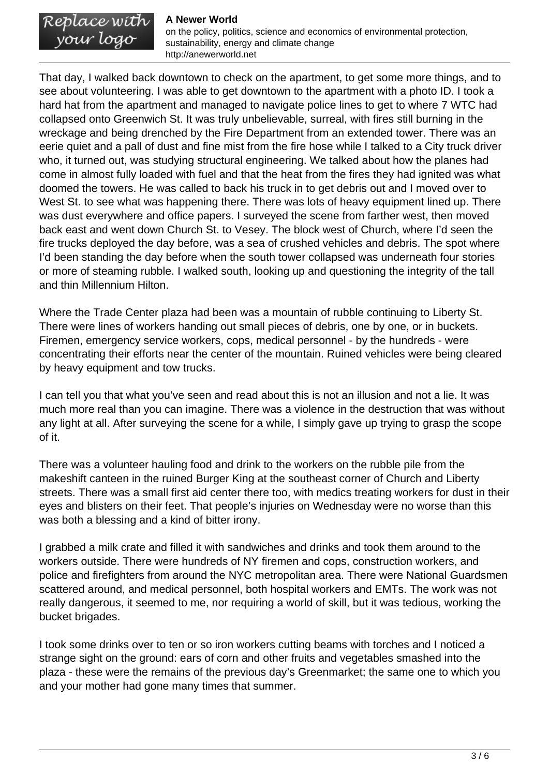Replace with<br>your logo

on the policy, politics, science and economics of environmental protection, sustainability, energy and climate change http://anewerworld.net

That day, I walked back downtown to check on the apartment, to get some more things, and to see about volunteering. I was able to get downtown to the apartment with a photo ID. I took a hard hat from the apartment and managed to navigate police lines to get to where 7 WTC had collapsed onto Greenwich St. It was truly unbelievable, surreal, with fires still burning in the wreckage and being drenched by the Fire Department from an extended tower. There was an eerie quiet and a pall of dust and fine mist from the fire hose while I talked to a City truck driver who, it turned out, was studying structural engineering. We talked about how the planes had come in almost fully loaded with fuel and that the heat from the fires they had ignited was what doomed the towers. He was called to back his truck in to get debris out and I moved over to West St. to see what was happening there. There was lots of heavy equipment lined up. There was dust everywhere and office papers. I surveyed the scene from farther west, then moved back east and went down Church St. to Vesey. The block west of Church, where I'd seen the fire trucks deployed the day before, was a sea of crushed vehicles and debris. The spot where I'd been standing the day before when the south tower collapsed was underneath four stories or more of steaming rubble. I walked south, looking up and questioning the integrity of the tall and thin Millennium Hilton.

Where the Trade Center plaza had been was a mountain of rubble continuing to Liberty St. There were lines of workers handing out small pieces of debris, one by one, or in buckets. Firemen, emergency service workers, cops, medical personnel - by the hundreds - were concentrating their efforts near the center of the mountain. Ruined vehicles were being cleared by heavy equipment and tow trucks.

I can tell you that what you've seen and read about this is not an illusion and not a lie. It was much more real than you can imagine. There was a violence in the destruction that was without any light at all. After surveying the scene for a while, I simply gave up trying to grasp the scope of it.

There was a volunteer hauling food and drink to the workers on the rubble pile from the makeshift canteen in the ruined Burger King at the southeast corner of Church and Liberty streets. There was a small first aid center there too, with medics treating workers for dust in their eyes and blisters on their feet. That people's injuries on Wednesday were no worse than this was both a blessing and a kind of bitter irony.

I grabbed a milk crate and filled it with sandwiches and drinks and took them around to the workers outside. There were hundreds of NY firemen and cops, construction workers, and police and firefighters from around the NYC metropolitan area. There were National Guardsmen scattered around, and medical personnel, both hospital workers and EMTs. The work was not really dangerous, it seemed to me, nor requiring a world of skill, but it was tedious, working the bucket brigades.

I took some drinks over to ten or so iron workers cutting beams with torches and I noticed a strange sight on the ground: ears of corn and other fruits and vegetables smashed into the plaza - these were the remains of the previous day's Greenmarket; the same one to which you and your mother had gone many times that summer.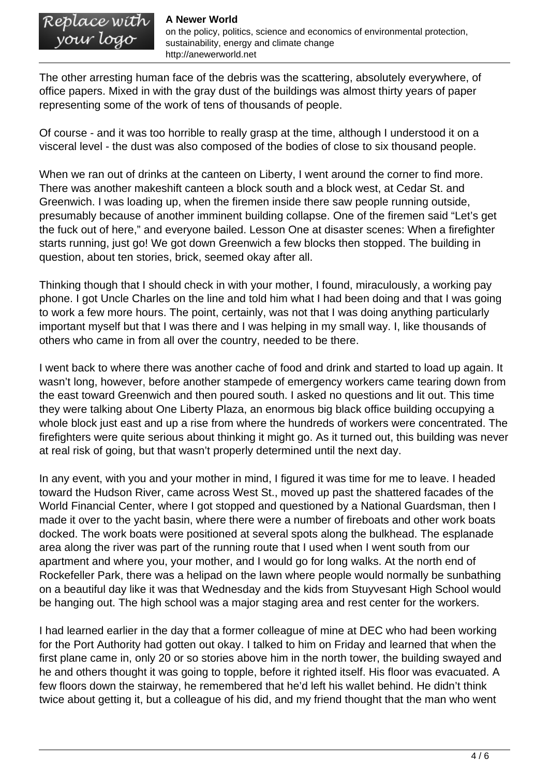Replace wíth<br>your logo

on the policy, politics, science and economics of environmental protection, sustainability, energy and climate change http://anewerworld.net

The other arresting human face of the debris was the scattering, absolutely everywhere, of office papers. Mixed in with the gray dust of the buildings was almost thirty years of paper representing some of the work of tens of thousands of people.

Of course - and it was too horrible to really grasp at the time, although I understood it on a visceral level - the dust was also composed of the bodies of close to six thousand people.

When we ran out of drinks at the canteen on Liberty, I went around the corner to find more. There was another makeshift canteen a block south and a block west, at Cedar St. and Greenwich. I was loading up, when the firemen inside there saw people running outside, presumably because of another imminent building collapse. One of the firemen said "Let's get the fuck out of here," and everyone bailed. Lesson One at disaster scenes: When a firefighter starts running, just go! We got down Greenwich a few blocks then stopped. The building in question, about ten stories, brick, seemed okay after all.

Thinking though that I should check in with your mother, I found, miraculously, a working pay phone. I got Uncle Charles on the line and told him what I had been doing and that I was going to work a few more hours. The point, certainly, was not that I was doing anything particularly important myself but that I was there and I was helping in my small way. I, like thousands of others who came in from all over the country, needed to be there.

I went back to where there was another cache of food and drink and started to load up again. It wasn't long, however, before another stampede of emergency workers came tearing down from the east toward Greenwich and then poured south. I asked no questions and lit out. This time they were talking about One Liberty Plaza, an enormous big black office building occupying a whole block just east and up a rise from where the hundreds of workers were concentrated. The firefighters were quite serious about thinking it might go. As it turned out, this building was never at real risk of going, but that wasn't properly determined until the next day.

In any event, with you and your mother in mind, I figured it was time for me to leave. I headed toward the Hudson River, came across West St., moved up past the shattered facades of the World Financial Center, where I got stopped and questioned by a National Guardsman, then I made it over to the yacht basin, where there were a number of fireboats and other work boats docked. The work boats were positioned at several spots along the bulkhead. The esplanade area along the river was part of the running route that I used when I went south from our apartment and where you, your mother, and I would go for long walks. At the north end of Rockefeller Park, there was a helipad on the lawn where people would normally be sunbathing on a beautiful day like it was that Wednesday and the kids from Stuyvesant High School would be hanging out. The high school was a major staging area and rest center for the workers.

I had learned earlier in the day that a former colleague of mine at DEC who had been working for the Port Authority had gotten out okay. I talked to him on Friday and learned that when the first plane came in, only 20 or so stories above him in the north tower, the building swayed and he and others thought it was going to topple, before it righted itself. His floor was evacuated. A few floors down the stairway, he remembered that he'd left his wallet behind. He didn't think twice about getting it, but a colleague of his did, and my friend thought that the man who went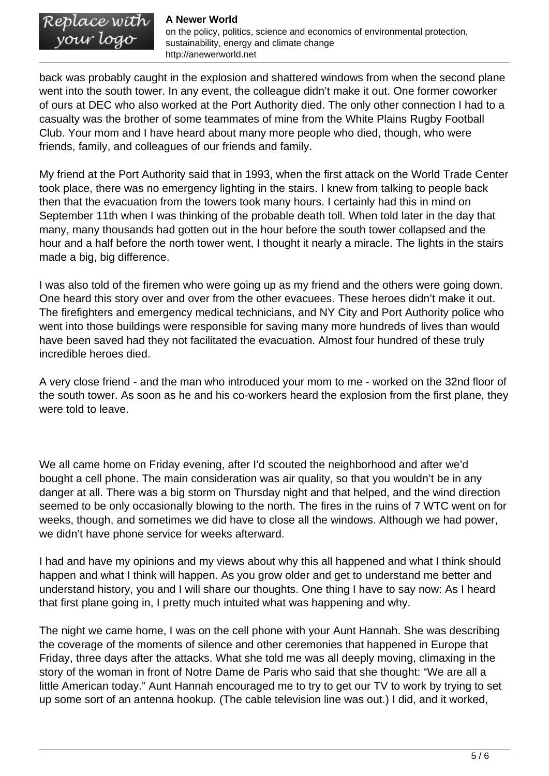# Replace with<br>your logo

on the policy, politics, science and economics of environmental protection, sustainability, energy and climate change http://anewerworld.net

back was probably caught in the explosion and shattered windows from when the second plane went into the south tower. In any event, the colleague didn't make it out. One former coworker of ours at DEC who also worked at the Port Authority died. The only other connection I had to a casualty was the brother of some teammates of mine from the White Plains Rugby Football Club. Your mom and I have heard about many more people who died, though, who were friends, family, and colleagues of our friends and family.

My friend at the Port Authority said that in 1993, when the first attack on the World Trade Center took place, there was no emergency lighting in the stairs. I knew from talking to people back then that the evacuation from the towers took many hours. I certainly had this in mind on September 11th when I was thinking of the probable death toll. When told later in the day that many, many thousands had gotten out in the hour before the south tower collapsed and the hour and a half before the north tower went, I thought it nearly a miracle. The lights in the stairs made a big, big difference.

I was also told of the firemen who were going up as my friend and the others were going down. One heard this story over and over from the other evacuees. These heroes didn't make it out. The firefighters and emergency medical technicians, and NY City and Port Authority police who went into those buildings were responsible for saving many more hundreds of lives than would have been saved had they not facilitated the evacuation. Almost four hundred of these truly incredible heroes died.

A very close friend - and the man who introduced your mom to me - worked on the 32nd floor of the south tower. As soon as he and his co-workers heard the explosion from the first plane, they were told to leave.

We all came home on Friday evening, after I'd scouted the neighborhood and after we'd bought a cell phone. The main consideration was air quality, so that you wouldn't be in any danger at all. There was a big storm on Thursday night and that helped, and the wind direction seemed to be only occasionally blowing to the north. The fires in the ruins of 7 WTC went on for weeks, though, and sometimes we did have to close all the windows. Although we had power, we didn't have phone service for weeks afterward.

I had and have my opinions and my views about why this all happened and what I think should happen and what I think will happen. As you grow older and get to understand me better and understand history, you and I will share our thoughts. One thing I have to say now: As I heard that first plane going in, I pretty much intuited what was happening and why.

The night we came home, I was on the cell phone with your Aunt Hannah. She was describing the coverage of the moments of silence and other ceremonies that happened in Europe that Friday, three days after the attacks. What she told me was all deeply moving, climaxing in the story of the woman in front of Notre Dame de Paris who said that she thought: "We are all a little American today." Aunt Hannah encouraged me to try to get our TV to work by trying to set up some sort of an antenna hookup. (The cable television line was out.) I did, and it worked,